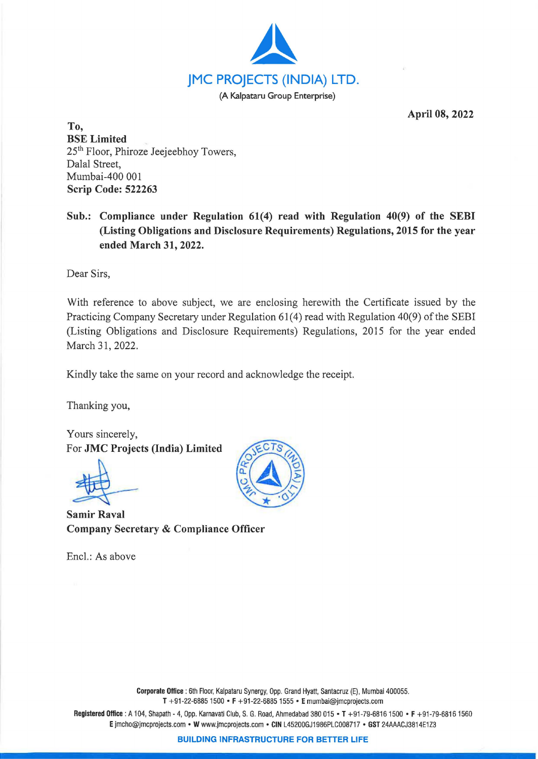

**April 08, 2022** 

**To, BSE Limited**  25<sup>th</sup> Floor, Phiroze Jeejeebhoy Towers, Dalal Street, Mumbai-400 001 **Scrip Code: 522263** 

**Sub.: Compliance under Regulation 61(4) read with Regulation 40(9) of the SEBI (Listing Obligations and Disclosure Requirements) Regulations, 2015 for the year ended March 31, 2022.** 

Dear Sirs,

With reference to above subject, we are enclosing herewith the Certificate issued by the Practicing Company Secretary under Regulation 61(4) read with Regulation 40(9) of the SEBI (Listing Obligations and Disclosure Requirements) Regulations, 2015 for the year ended March 31, 2022.

Kindly take the same on your record and acknowledge the receipt.

Thanking you,

Yours sincerely, For **JMC Projects (India) Limited** 

amir Raval

**Samir Company Secretary** & **Compliance Officer** 

Encl.: As above



**Corporate Office** : 6th Floor, Kalpataru Synergy, Opp. Grand Hyatt, Santacruz (E), Mumbai 400055. **T** +91-22-68851500 • **F** +91-22-68851555 • **E** mumbai@jmcprojects.com

**Registered** Office: A 104, Shapath - 4, Opp. Karnavati Club, S. G. Road, Ahmedabad 380 015 • T +91-79-68161500 • **F** +91-79-68161560 E jmcho@jmcprojects.com • W www.jmcprojects.com • CIN L45200GJ1986PLC008717 • GST 24AAACJ3814E1Z3